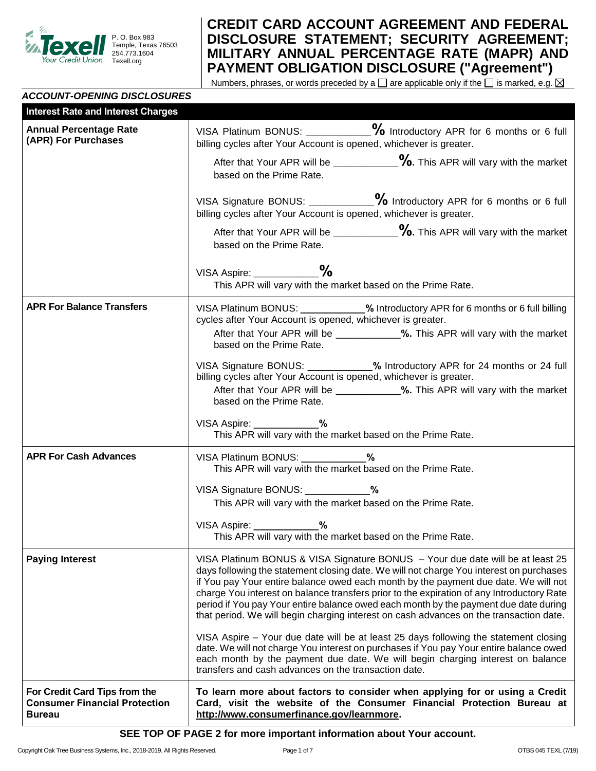

*ACCOUNT-OPENING DISCLOSURES* 

# **CREDIT CARD ACCOUNT AGREEMENT AND FEDERAL DISCLOSURE STATEMENT; SECURITY AGREEMENT; MILITARY ANNUAL PERCENTAGE RATE (MAPR) AND PAYMENT OBLIGATION DISCLOSURE ("Agreement")**

Numbers, phrases, or words preceded by a  $\square$  are applicable only if the  $\square$  is marked, e.g.  $\boxtimes$ 

## **Interest Rate and Interest Charges Annual Percentage Rate (APR) For Purchases** VISA Platinum BONUS: **\_\_\_\_\_\_\_\_\_\_\_\_%** Introductory APR for 6 months or 6 full billing cycles after Your Account is opened, whichever is greater. After that Your APR will be **\_\_\_\_\_\_\_\_\_\_\_\_%.** This APR will vary with the market based on the Prime Rate. VISA Signature BONUS: **\_\_\_\_\_\_\_\_\_\_\_\_%** Introductory APR for 6 months or 6 full billing cycles after Your Account is opened, whichever is greater. After that Your APR will be **\_\_\_\_\_\_\_\_\_\_\_\_%.** This APR will vary with the market based on the Prime Rate. VISA Aspire: **\_\_\_\_\_\_\_\_\_\_\_\_%** This APR will vary with the market based on the Prime Rate. **APR For Balance Transfers** VISA Platinum BONUS: **\_\_\_\_\_\_\_\_\_\_\_\_%** Introductory APR for 6 months or 6 full billing cycles after Your Account is opened, whichever is greater. After that Your APR will be **\_\_\_\_\_\_\_\_\_\_\_\_%.** This APR will vary with the market based on the Prime Rate. VISA Signature BONUS: **\_\_\_\_\_\_\_\_\_\_\_\_%** Introductory APR for 24 months or 24 full billing cycles after Your Account is opened, whichever is greater. After that Your APR will be **\_\_\_\_\_\_\_\_\_\_\_\_%.** This APR will vary with the market based on the Prime Rate. VISA Aspire: **\_\_\_\_\_\_\_\_\_\_\_\_%** This APR will vary with the market based on the Prime Rate. **APR For Cash Advances**  $\vert$  VISA Platinum BONUS: \_\_\_\_\_\_\_\_\_\_\_\_% This APR will vary with the market based on the Prime Rate. VISA Signature BONUS: **\_\_\_\_\_\_\_\_\_\_\_\_%** This APR will vary with the market based on the Prime Rate. VISA Aspire: **\_\_\_\_\_\_\_\_\_\_\_\_%** This APR will vary with the market based on the Prime Rate. **Paying Interest** VISA Platinum BONUS & VISA Signature BONUS – Your due date will be at least 25 days following the statement closing date. We will not charge You interest on purchases if You pay Your entire balance owed each month by the payment due date. We will not charge You interest on balance transfers prior to the expiration of any Introductory Rate period if You pay Your entire balance owed each month by the payment due date during that period. We will begin charging interest on cash advances on the transaction date. VISA Aspire – Your due date will be at least 25 days following the statement closing date. We will not charge You interest on purchases if You pay Your entire balance owed each month by the payment due date. We will begin charging interest on balance transfers and cash advances on the transaction date. **For Credit Card Tips from the Consumer Financial Protection To learn more about factors to consider when applying for or using a Credit**

**Card, visit the website of the Consumer Financial Protection Bureau at http://www.consumerfinance.gov/learnmore.**

**SEE TOP OF PAGE 2 for more important information about Your account.**

**Bureau**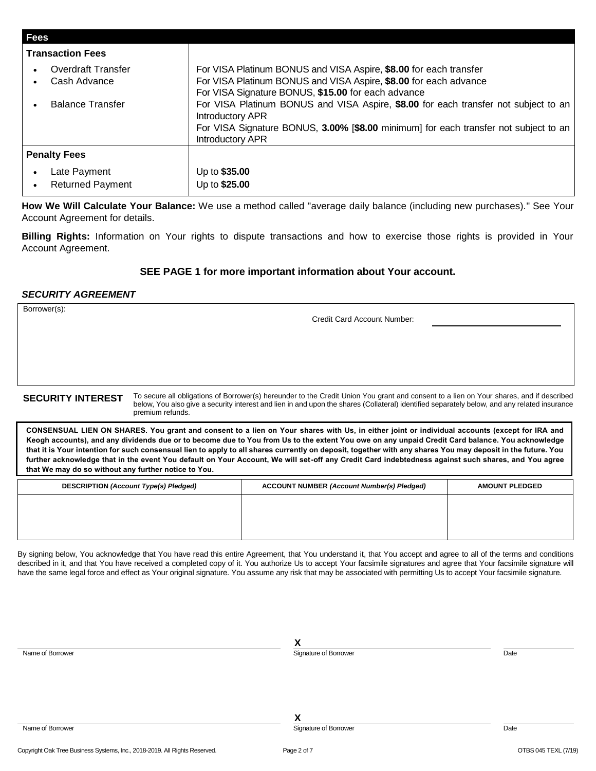| <b>Fees</b>                               |                                                                                                                                                                                                                                   |
|-------------------------------------------|-----------------------------------------------------------------------------------------------------------------------------------------------------------------------------------------------------------------------------------|
| <b>Transaction Fees</b>                   |                                                                                                                                                                                                                                   |
| <b>Overdraft Transfer</b><br>Cash Advance | For VISA Platinum BONUS and VISA Aspire, \$8.00 for each transfer<br>For VISA Platinum BONUS and VISA Aspire, \$8.00 for each advance<br>For VISA Signature BONUS, \$15.00 for each advance                                       |
| <b>Balance Transfer</b>                   | For VISA Platinum BONUS and VISA Aspire, \$8.00 for each transfer not subject to an<br><b>Introductory APR</b><br>For VISA Signature BONUS, 3.00% [\$8.00 minimum] for each transfer not subject to an<br><b>Introductory APR</b> |
| <b>Penalty Fees</b>                       |                                                                                                                                                                                                                                   |
| Late Payment<br><b>Returned Payment</b>   | Up to \$35.00<br>Up to \$25.00                                                                                                                                                                                                    |

**How We Will Calculate Your Balance:** We use a method called "average daily balance (including new purchases)." See Your Account Agreement for details.

**Billing Rights:** Information on Your rights to dispute transactions and how to exercise those rights is provided in Your Account Agreement.

## **SEE PAGE 1 for more important information about Your account.**

## *SECURITY AGREEMENT*

Borrower(s):

Credit Card Account Number:

SECURITY INTEREST To secure all obligations of Borrower(s) hereunder to the Credit Union You grant and consent to a lien on Your shares, and if described below, You also give a security interest and lien in and upon the shares (Collateral) identified separately below, and any related insurance premium refunds.

**CONSENSUAL LIEN ON SHARES. You grant and consent to a lien on Your shares with Us, in either joint or individual accounts (except for IRA and Keogh accounts), and any dividends due or to become due to You from Us to the extent You owe on any unpaid Credit Card balance. You acknowledge that it is Your intention for such consensual lien to apply to all shares currently on deposit, together with any shares You may deposit in the future. You further acknowledge that in the event You default on Your Account, We will set-off any Credit Card indebtedness against such shares, and You agree that We may do so without any further notice to You.** 

| DESCRIPTION (Account Type(s) Pledged) | <b>ACCOUNT NUMBER (Account Number(s) Pledged)</b> | <b>AMOUNT PLEDGED</b> |  |
|---------------------------------------|---------------------------------------------------|-----------------------|--|
|                                       |                                                   |                       |  |
|                                       |                                                   |                       |  |
|                                       |                                                   |                       |  |

By signing below, You acknowledge that You have read this entire Agreement, that You understand it, that You accept and agree to all of the terms and conditions described in it, and that You have received a completed copy of it. You authorize Us to accept Your facsimile signatures and agree that Your facsimile signature will have the same legal force and effect as Your original signature. You assume any risk that may be associated with permitting Us to accept Your facsimile signature.

|                  | v<br>Λ                |      |
|------------------|-----------------------|------|
| Name of Borrower | Signature of Borrower | Date |
|                  |                       |      |
|                  |                       |      |
|                  |                       |      |
|                  |                       |      |
|                  | v                     |      |
| Name of Borrower | Signature of Borrower | Date |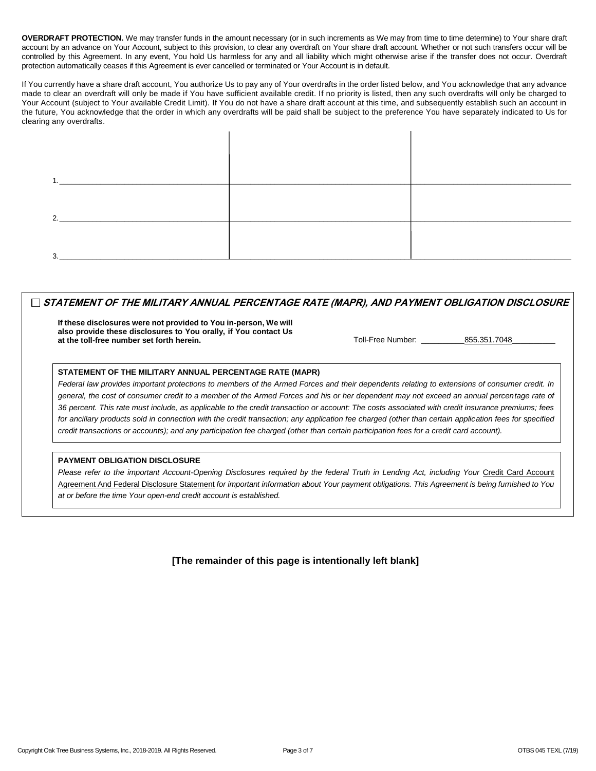**OVERDRAFT PROTECTION.** We may transfer funds in the amount necessary (or in such increments as We may from time to time determine) to Your share draft account by an advance on Your Account, subject to this provision, to clear any overdraft on Your share draft account. Whether or not such transfers occur will be controlled by this Agreement. In any event, You hold Us harmless for any and all liability which might otherwise arise if the transfer does not occur. Overdraft protection automatically ceases if this Agreement is ever cancelled or terminated or Your Account is in default.

If You currently have a share draft account, You authorize Us to pay any of Your overdrafts in the order listed below, and You acknowledge that any advance made to clear an overdraft will only be made if You have sufficient available credit. If no priority is listed, then any such overdrafts will only be charged to Your Account (subject to Your available Credit Limit). If You do not have a share draft account at this time, and subsequently establish such an account in the future, You acknowledge that the order in which any overdrafts will be paid shall be subject to the preference You have separately indicated to Us for clearing any overdrafts.

| ◠ |  |
|---|--|
|   |  |
|   |  |

## **STATEMENT OF THE MILITARY ANNUAL PERCENTAGE RATE (MAPR), AND PAYMENT OBLIGATION DISCLOSURE**

**If these disclosures were not provided to You in-person, We will also provide these disclosures to You orally, if You contact Us at the toll-free number set forth herein.** The contract of the contract of the toll-Free Number: 255.351.7048

#### **STATEMENT OF THE MILITARY ANNUAL PERCENTAGE RATE (MAPR)**

*Federal law provides important protections to members of the Armed Forces and their dependents relating to extensions of consumer credit. In general, the cost of consumer credit to a member of the Armed Forces and his or her dependent may not exceed an annual percentage rate of 36 percent. This rate must include, as applicable to the credit transaction or account: The costs associated with credit insurance premiums; fees for ancillary products sold in connection with the credit transaction; any application fee charged (other than certain application fees for specified credit transactions or accounts); and any participation fee charged (other than certain participation fees for a credit card account).*

#### **PAYMENT OBLIGATION DISCLOSURE**

Please refer to the important Account-Opening Disclosures required by the federal Truth in Lending Act, including Your Credit Card Account Agreement And Federal Disclosure Statement *for important information about Your payment obligations. This Agreement is being furnished to You at or before the time Your open-end credit account is established.*

**[The remainder of this page is intentionally left blank]**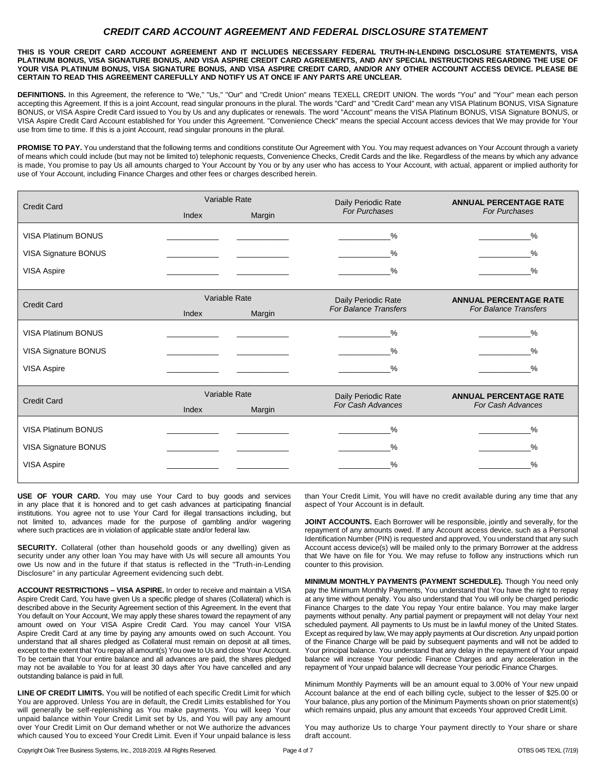## *CREDIT CARD ACCOUNT AGREEMENT AND FEDERAL DISCLOSURE STATEMENT*

**THIS IS YOUR CREDIT CARD ACCOUNT AGREEMENT AND IT INCLUDES NECESSARY FEDERAL TRUTH-IN-LENDING DISCLOSURE STATEMENTS, VISA PLATINUM BONUS, VISA SIGNATURE BONUS, AND VISA ASPIRE CREDIT CARD AGREEMENTS, AND ANY SPECIAL INSTRUCTIONS REGARDING THE USE OF YOUR VISA PLATINUM BONUS, VISA SIGNATURE BONUS, AND VISA ASPIRE CREDIT CARD, AND/OR ANY OTHER ACCOUNT ACCESS DEVICE. PLEASE BE CERTAIN TO READ THIS AGREEMENT CAREFULLY AND NOTIFY US AT ONCE IF ANY PARTS ARE UNCLEAR.**

**DEFINITIONS.** In this Agreement, the reference to "We," "Us," "Our" and "Credit Union" means TEXELL CREDIT UNION. The words "You" and "Your" mean each person accepting this Agreement. If this is a joint Account, read singular pronouns in the plural. The words "Card" and "Credit Card" mean any VISA Platinum BONUS, VISA Signature BONUS, or VISA Aspire Credit Card issued to You by Us and any duplicates or renewals. The word "Account" means the VISA Platinum BONUS, VISA Signature BONUS, or VISA Aspire Credit Card Account established for You under this Agreement. "Convenience Check" means the special Account access devices that We may provide for Your use from time to time. If this is a joint Account, read singular pronouns in the plural.

PROMISE TO PAY. You understand that the following terms and conditions constitute Our Agreement with You. You may request advances on Your Account through a variety of means which could include (but may not be limited to) telephonic requests, Convenience Checks, Credit Cards and the like. Regardless of the means by which any advance is made, You promise to pay Us all amounts charged to Your Account by You or by any user who has access to Your Account, with actual, apparent or implied authority for use of Your Account, including Finance Charges and other fees or charges described herein.

| <b>Credit Card</b>         | Variable Rate                     |        | Daily Periodic Rate          | <b>ANNUAL PERCENTAGE RATE</b>          |
|----------------------------|-----------------------------------|--------|------------------------------|----------------------------------------|
|                            | Index                             | Margin | <b>For Purchases</b>         | <b>For Purchases</b>                   |
| <b>VISA Platinum BONUS</b> |                                   |        | %                            | %                                      |
| VISA Signature BONUS       | the control of the control of the |        | %                            | %<br><u>and the state</u>              |
| <b>VISA Aspire</b>         |                                   |        | $\frac{0}{0}$                | %                                      |
|                            |                                   |        |                              |                                        |
| <b>Credit Card</b>         | Variable Rate                     |        | Daily Periodic Rate          | <b>ANNUAL PERCENTAGE RATE</b>          |
|                            | Index                             | Margin | <b>For Balance Transfers</b> | <b>For Balance Transfers</b>           |
| <b>VISA Platinum BONUS</b> |                                   |        | %                            | $\frac{0}{0}$                          |
| VISA Signature BONUS       |                                   |        | %                            | %                                      |
| <b>VISA Aspire</b>         |                                   |        | $\frac{0}{0}$                | $\frac{0}{0}$                          |
|                            |                                   |        |                              |                                        |
| <b>Credit Card</b>         | Variable Rate                     |        | Daily Periodic Rate          | <b>ANNUAL PERCENTAGE RATE</b>          |
|                            | Index                             | Margin | For Cash Advances            | For Cash Advances                      |
| <b>VISA Platinum BONUS</b> |                                   |        | %                            | %<br><b>Contract Contract Contract</b> |
| VISA Signature BONUS       | the control of the control of     |        | %                            | %                                      |
| <b>VISA Aspire</b>         |                                   |        | %                            | $\frac{0}{0}$                          |
|                            |                                   |        |                              |                                        |

**USE OF YOUR CARD.** You may use Your Card to buy goods and services in any place that it is honored and to get cash advances at participating financial institutions. You agree not to use Your Card for illegal transactions including, but not limited to, advances made for the purpose of gambling and/or wagering where such practices are in violation of applicable state and/or federal law.

**SECURITY.** Collateral (other than household goods or any dwelling) given as security under any other loan You may have with Us will secure all amounts You owe Us now and in the future if that status is reflected in the "Truth-in-Lending Disclosure" in any particular Agreement evidencing such debt.

**ACCOUNT RESTRICTIONS – VISA ASPIRE.** In order to receive and maintain a VISA Aspire Credit Card, You have given Us a specific pledge of shares (Collateral) which is described above in the Security Agreement section of this Agreement. In the event that You default on Your Account, We may apply these shares toward the repayment of any amount owed on Your VISA Aspire Credit Card. You may cancel Your VISA Aspire Credit Card at any time by paying any amounts owed on such Account. You understand that all shares pledged as Collateral must remain on deposit at all times, except to the extent that You repay all amount(s) You owe to Us and close Your Account. To be certain that Your entire balance and all advances are paid, the shares pledged may not be available to You for at least 30 days after You have cancelled and any outstanding balance is paid in full.

**LINE OF CREDIT LIMITS.** You will be notified of each specific Credit Limit for which You are approved. Unless You are in default, the Credit Limits established for You will generally be self-replenishing as You make payments. You will keep Your unpaid balance within Your Credit Limit set by Us, and You will pay any amount over Your Credit Limit on Our demand whether or not We authorize the advances which caused You to exceed Your Credit Limit. Even if Your unpaid balance is less than Your Credit Limit, You will have no credit available during any time that any aspect of Your Account is in default.

**JOINT ACCOUNTS.** Each Borrower will be responsible, jointly and severally, for the repayment of any amounts owed. If any Account access device, such as a Personal Identification Number (PIN) is requested and approved, You understand that any such Account access device(s) will be mailed only to the primary Borrower at the address that We have on file for You. We may refuse to follow any instructions which run counter to this provision.

**MINIMUM MONTHLY PAYMENTS (PAYMENT SCHEDULE).** Though You need only pay the Minimum Monthly Payments, You understand that You have the right to repay at any time without penalty. You also understand that You will only be charged periodic Finance Charges to the date You repay Your entire balance. You may make larger payments without penalty. Any partial payment or prepayment will not delay Your next scheduled payment. All payments to Us must be in lawful money of the United States. Except as required by law, We may apply payments at Our discretion. Any unpaid portion of the Finance Charge will be paid by subsequent payments and will not be added to Your principal balance. You understand that any delay in the repayment of Your unpaid balance will increase Your periodic Finance Charges and any acceleration in the repayment of Your unpaid balance will decrease Your periodic Finance Charges.

Minimum Monthly Payments will be an amount equal to 3.00% of Your new unpaid Account balance at the end of each billing cycle, subject to the lesser of \$25.00 or Your balance, plus any portion of the Minimum Payments shown on prior statement(s) which remains unpaid, plus any amount that exceeds Your approved Credit Limit.

You may authorize Us to charge Your payment directly to Your share or share draft account.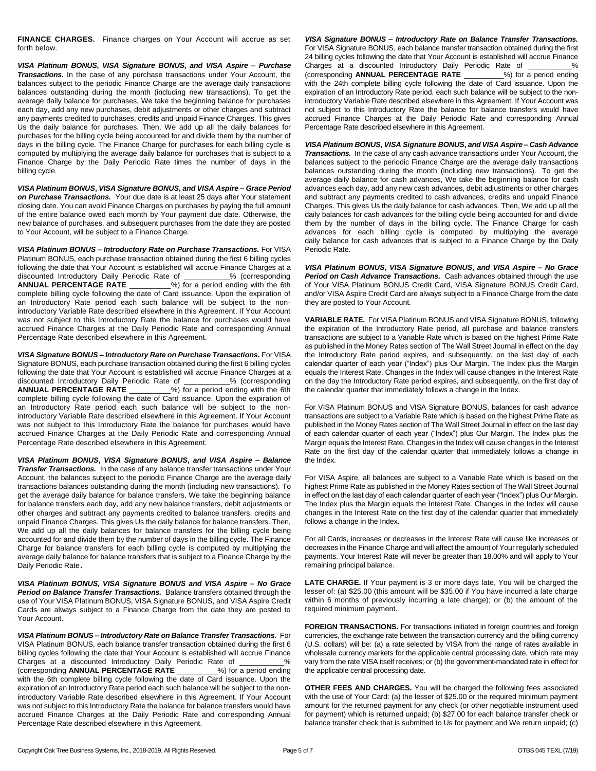**FINANCE CHARGES.** Finance charges on Your Account will accrue as set forth below.

*VISA Platinum BONUS***,** *VISA Signature BONUS***,** *and VISA Aspire – Purchase Transactions.* In the case of any purchase transactions under Your Account, the balances subject to the periodic Finance Charge are the average daily transactions balances outstanding during the month (including new transactions). To get the average daily balance for purchases, We take the beginning balance for purchases each day, add any new purchases, debit adjustments or other charges and subtract any payments credited to purchases, credits and unpaid Finance Charges. This gives Us the daily balance for purchases. Then, We add up all the daily balances for purchases for the billing cycle being accounted for and divide them by the number of days in the billing cycle. The Finance Charge for purchases for each billing cycle is computed by multiplying the average daily balance for purchases that is subject to a Finance Charge by the Daily Periodic Rate times the number of days in the billing cycle.

*VISA Platinum BONUS***,** *VISA Signature BONUS***,** *and VISA Aspire – Grace Period on Purchase Transactions.* Your due date is at least 25 days after Your statement closing date. You can avoid Finance Charges on purchases by paying the full amount of the entire balance owed each month by Your payment due date. Otherwise, the new balance of purchases, and subsequent purchases from the date they are posted to Your Account, will be subject to a Finance Charge.

*VISA Platinum BONUS – Introductory Rate on Purchase Transactions.* For VISA Platinum BONUS, each purchase transaction obtained during the first 6 billing cycles following the date that Your Account is established will accrue Finance Charges at a discounted Introductory Daily Periodic Rate of \_\_\_\_\_\_\_\_\_\_\_% (corresponding **ANNUAL PERCENTAGE RATE** \_\_\_\_\_\_\_\_\_\_%) for a period ending with the 6th complete billing cycle following the date of Card issuance. Upon the expiration of an Introductory Rate period each such balance will be subject to the nonintroductory Variable Rate described elsewhere in this Agreement. If Your Account was not subject to this Introductory Rate the balance for purchases would have accrued Finance Charges at the Daily Periodic Rate and corresponding Annual Percentage Rate described elsewhere in this Agreement.

*VISA Signature BONUS – Introductory Rate on Purchase Transactions.* For VISA Signature BONUS, each purchase transaction obtained during the first 6 billing cycles following the date that Your Account is established will accrue Finance Charges at a discounted Introductory Daily Periodic Rate of \_\_\_\_\_\_\_\_\_\_\_% (corresponding **ANNUAL PERCENTAGE RATE** \_\_\_\_\_\_\_\_\_\_%) for a period ending with the 6th complete billing cycle following the date of Card issuance. Upon the expiration of an Introductory Rate period each such balance will be subject to the nonintroductory Variable Rate described elsewhere in this Agreement. If Your Account was not subject to this Introductory Rate the balance for purchases would have accrued Finance Charges at the Daily Periodic Rate and corresponding Annual Percentage Rate described elsewhere in this Agreement.

*VISA Platinum BONUS***,** *VISA Signature BONUS***,** *and VISA Aspire – Balance Transfer Transactions.* In the case of any balance transfer transactions under Your Account, the balances subject to the periodic Finance Charge are the average daily transactions balances outstanding during the month (including new transactions). To get the average daily balance for balance transfers, We take the beginning balance for balance transfers each day, add any new balance transfers, debit adjustments or other charges and subtract any payments credited to balance transfers, credits and unpaid Finance Charges. This gives Us the daily balance for balance transfers. Then, We add up all the daily balances for balance transfers for the billing cycle being accounted for and divide them by the number of days in the billing cycle. The Finance Charge for balance transfers for each billing cycle is computed by multiplying the average daily balance for balance transfers that is subject to a Finance Charge by the Daily Periodic Rate.

*VISA Platinum BONUS, VISA Signature BONUS and VISA Aspire – No Grace Period on Balance Transfer Transactions.* Balance transfers obtained through the use of Your VISA Platinum BONUS, VISA Signature BONUS, and VISA Aspire Credit Cards are always subject to a Finance Charge from the date they are posted to Your Account.

*VISA Platinum BONUS – Introductory Rate on Balance Transfer Transactions.* For VISA Platinum BONUS, each balance transfer transaction obtained during the first 6 billing cycles following the date that Your Account is established will accrue Finance Charges at a discounted Introductory Daily Periodic Rate of \_\_\_\_\_\_\_\_\_\_\_% (corresponding **ANNUAL PERCENTAGE RATE** \_\_\_\_\_\_\_\_\_\_%) for a period ending with the 6th complete billing cycle following the date of Card issuance. Upon the expiration of an Introductory Rate period each such balance will be subject to the nonintroductory Variable Rate described elsewhere in this Agreement. If Your Account was not subject to this Introductory Rate the balance for balance transfers would have accrued Finance Charges at the Daily Periodic Rate and corresponding Annual Percentage Rate described elsewhere in this Agreement.

*VISA Signature BONUS – Introductory Rate on Balance Transfer Transactions.* For VISA Signature BONUS, each balance transfer transaction obtained during the first 24 billing cycles following the date that Your Account is established will accrue Finance Charges at a discounted Introductory Daily Periodic Rate of \_ (corresponding **ANNUAL PERCENTAGE RATE** \_\_\_\_\_\_\_\_\_\_%) for a period ending with the 24th complete billing cycle following the date of Card issuance. Upon the expiration of an Introductory Rate period, each such balance will be subject to the nonintroductory Variable Rate described elsewhere in this Agreement. If Your Account was not subject to this Introductory Rate the balance for balance transfers would have accrued Finance Charges at the Daily Periodic Rate and corresponding Annual Percentage Rate described elsewhere in this Agreement.

*VISA Platinum BONUS***,** *VISA Signature BONUS***,** *and VISA Aspire – Cash Advance Transactions.* In the case of any cash advance transactions under Your Account, the balances subject to the periodic Finance Charge are the average daily transactions balances outstanding during the month (including new transactions). To get the average daily balance for cash advances, We take the beginning balance for cash advances each day, add any new cash advances, debit adjustments or other charges and subtract any payments credited to cash advances, credits and unpaid Finance Charges. This gives Us the daily balance for cash advances. Then, We add up all the daily balances for cash advances for the billing cycle being accounted for and divide them by the number of days in the billing cycle. The Finance Charge for cash advances for each billing cycle is computed by multiplying the average daily balance for cash advances that is subject to a Finance Charge by the Daily Periodic Rate.

*VISA Platinum BONUS***,** *VISA Signature BONUS***,** *and VISA Aspire – No Grace Period on Cash Advance Transactions.* Cash advances obtained through the use of Your VISA Platinum BONUS Credit Card, VISA Signature BONUS Credit Card, and/or VISA Aspire Credit Card are always subject to a Finance Charge from the date they are posted to Your Account.

**VARIABLE RATE.** For VISA Platinum BONUS and VISA Signature BONUS, following the expiration of the Introductory Rate period, all purchase and balance transfers transactions are subject to a Variable Rate which is based on the highest Prime Rate as published in the Money Rates section of The Wall Street Journal in effect on the day the Introductory Rate period expires, and subsequently, on the last day of each calendar quarter of each year ("Index") plus Our Margin. The Index plus the Margin equals the Interest Rate. Changes in the Index will cause changes in the Interest Rate on the day the Introductory Rate period expires, and subsequently, on the first day of the calendar quarter that immediately follows a change in the Index.

For VISA Platinum BONUS and VISA Signature BONUS, balances for cash advance transactions are subject to a Variable Rate which is based on the highest Prime Rate as published in the Money Rates section of The Wall Street Journal in effect on the last day of each calendar quarter of each year ("Index") plus Our Margin. The Index plus the Margin equals the Interest Rate. Changes in the Index will cause changes in the Interest Rate on the first day of the calendar quarter that immediately follows a change in the Index.

For VISA Aspire, all balances are subject to a Variable Rate which is based on the highest Prime Rate as published in the Money Rates section of The Wall Street Journal in effect on the last day of each calendar quarter of each year ("Index") plus Our Margin. The Index plus the Margin equals the Interest Rate. Changes in the Index will cause changes in the Interest Rate on the first day of the calendar quarter that immediately follows a change in the Index.

For all Cards, increases or decreases in the Interest Rate will cause like increases or decreases in the Finance Charge and will affect the amount of Your regularly scheduled payments. Your Interest Rate will never be greater than 18.00% and will apply to Your remaining principal balance.

**LATE CHARGE.** If Your payment is 3 or more days late, You will be charged the lesser of: (a) \$25.00 (this amount will be \$35.00 if You have incurred a late charge within 6 months of previously incurring a late charge); or (b) the amount of the required minimum payment.

**FOREIGN TRANSACTIONS.** For transactions initiated in foreign countries and foreign currencies, the exchange rate between the transaction currency and the billing currency (U.S. dollars) will be: (a) a rate selected by VISA from the range of rates available in wholesale currency markets for the applicable central processing date, which rate may vary from the rate VISA itself receives; or (b) the government-mandated rate in effect for the applicable central processing date.

**OTHER FEES AND CHARGES.** You will be charged the following fees associated with the use of Your Card: (a) the lesser of \$25.00 or the required minimum payment amount for the returned payment for any check (or other negotiable instrument used for payment) which is returned unpaid; (b) \$27.00 for each balance transfer check or balance transfer check that is submitted to Us for payment and We return unpaid; (c)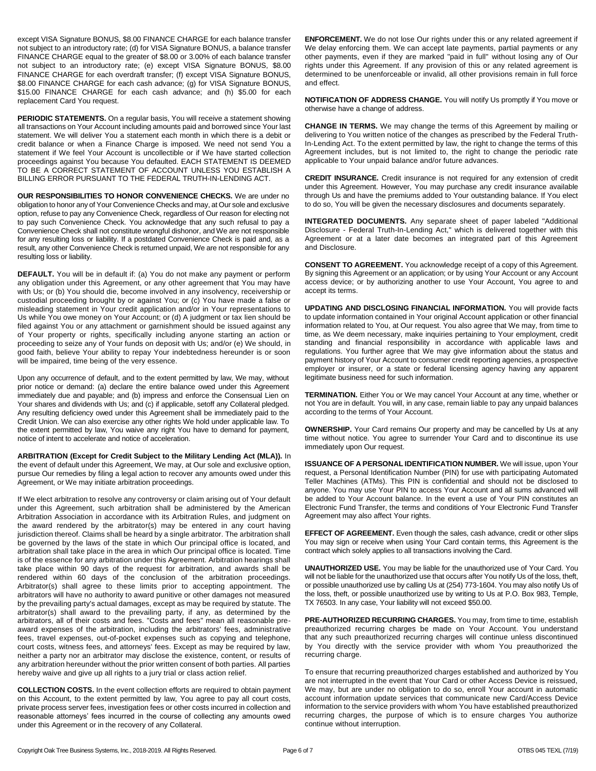except VISA Signature BONUS, \$8.00 FINANCE CHARGE for each balance transfer not subject to an introductory rate; (d) for VISA Signature BONUS, a balance transfer FINANCE CHARGE equal to the greater of \$8.00 or 3.00% of each balance transfer not subject to an introductory rate; (e) except VISA Signature BONUS, \$8.00 FINANCE CHARGE for each overdraft transfer; (f) except VISA Signature BONUS, \$8.00 FINANCE CHARGE for each cash advance; (g) for VISA Signature BONUS, \$15.00 FINANCE CHARGE for each cash advance; and (h) \$5.00 for each replacement Card You request.

**PERIODIC STATEMENTS.** On a regular basis, You will receive a statement showing all transactions on Your Account including amounts paid and borrowed since Your last statement. We will deliver You a statement each month in which there is a debit or credit balance or when a Finance Charge is imposed. We need not send You a statement if We feel Your Account is uncollectible or if We have started collection proceedings against You because You defaulted. EACH STATEMENT IS DEEMED TO BE A CORRECT STATEMENT OF ACCOUNT UNLESS YOU ESTABLISH A BILLING ERROR PURSUANT TO THE FEDERAL TRUTH-IN-LENDING ACT.

**OUR RESPONSIBILITIES TO HONOR CONVENIENCE CHECKS.** We are under no obligation to honor any of Your Convenience Checks and may, at Our sole and exclusive option, refuse to pay any Convenience Check, regardless of Our reason for electing not to pay such Convenience Check. You acknowledge that any such refusal to pay a Convenience Check shall not constitute wrongful dishonor, and We are not responsible for any resulting loss or liability. If a postdated Convenience Check is paid and, as a result, any other Convenience Check is returned unpaid, We are not responsible for any resulting loss or liability.

**DEFAULT.** You will be in default if: (a) You do not make any payment or perform any obligation under this Agreement, or any other agreement that You may have with Us; or (b) You should die, become involved in any insolvency, receivership or custodial proceeding brought by or against You; or (c) You have made a false or misleading statement in Your credit application and/or in Your representations to Us while You owe money on Your Account; or (d) A judgment or tax lien should be filed against You or any attachment or garnishment should be issued against any of Your property or rights, specifically including anyone starting an action or proceeding to seize any of Your funds on deposit with Us; and/or (e) We should, in good faith, believe Your ability to repay Your indebtedness hereunder is or soon will be impaired, time being of the very essence.

Upon any occurrence of default, and to the extent permitted by law, We may, without prior notice or demand: (a) declare the entire balance owed under this Agreement immediately due and payable; and (b) impress and enforce the Consensual Lien on Your shares and dividends with Us; and (c) if applicable, setoff any Collateral pledged. Any resulting deficiency owed under this Agreement shall be immediately paid to the Credit Union. We can also exercise any other rights We hold under applicable law. To the extent permitted by law, You waive any right You have to demand for payment, notice of intent to accelerate and notice of acceleration.

**ARBITRATION (Except for Credit Subject to the Military Lending Act (MLA)).** In the event of default under this Agreement, We may, at Our sole and exclusive option, pursue Our remedies by filing a legal action to recover any amounts owed under this Agreement, or We may initiate arbitration proceedings.

If We elect arbitration to resolve any controversy or claim arising out of Your default under this Agreement, such arbitration shall be administered by the American Arbitration Association in accordance with its Arbitration Rules, and judgment on the award rendered by the arbitrator(s) may be entered in any court having jurisdiction thereof. Claims shall be heard by a single arbitrator. The arbitration shall be governed by the laws of the state in which Our principal office is located, and arbitration shall take place in the area in which Our principal office is located. Time is of the essence for any arbitration under this Agreement. Arbitration hearings shall take place within 90 days of the request for arbitration, and awards shall be rendered within 60 days of the conclusion of the arbitration proceedings. Arbitrator(s) shall agree to these limits prior to accepting appointment. The arbitrators will have no authority to award punitive or other damages not measured by the prevailing party's actual damages, except as may be required by statute. The arbitrator(s) shall award to the prevailing party, if any, as determined by the arbitrators, all of their costs and fees. "Costs and fees" mean all reasonable preaward expenses of the arbitration, including the arbitrators' fees, administrative fees, travel expenses, out-of-pocket expenses such as copying and telephone, court costs, witness fees, and attorneys' fees. Except as may be required by law, neither a party nor an arbitrator may disclose the existence, content, or results of any arbitration hereunder without the prior written consent of both parties. All parties hereby waive and give up all rights to a jury trial or class action relief.

**COLLECTION COSTS.** In the event collection efforts are required to obtain payment on this Account, to the extent permitted by law, You agree to pay all court costs, private process server fees, investigation fees or other costs incurred in collection and reasonable attorneys' fees incurred in the course of collecting any amounts owed under this Agreement or in the recovery of any Collateral.

**ENFORCEMENT.** We do not lose Our rights under this or any related agreement if We delay enforcing them. We can accept late payments, partial payments or any other payments, even if they are marked "paid in full" without losing any of Our rights under this Agreement. If any provision of this or any related agreement is determined to be unenforceable or invalid, all other provisions remain in full force and effect.

**NOTIFICATION OF ADDRESS CHANGE.** You will notify Us promptly if You move or otherwise have a change of address.

**CHANGE IN TERMS.** We may change the terms of this Agreement by mailing or delivering to You written notice of the changes as prescribed by the Federal Truth-In-Lending Act. To the extent permitted by law, the right to change the terms of this Agreement includes, but is not limited to, the right to change the periodic rate applicable to Your unpaid balance and/or future advances.

**CREDIT INSURANCE.** Credit insurance is not required for any extension of credit under this Agreement. However, You may purchase any credit insurance available through Us and have the premiums added to Your outstanding balance. If You elect to do so, You will be given the necessary disclosures and documents separately.

**INTEGRATED DOCUMENTS.** Any separate sheet of paper labeled "Additional Disclosure - Federal Truth-In-Lending Act," which is delivered together with this Agreement or at a later date becomes an integrated part of this Agreement and Disclosure.

**CONSENT TO AGREEMENT.** You acknowledge receipt of a copy of this Agreement. By signing this Agreement or an application; or by using Your Account or any Account access device; or by authorizing another to use Your Account, You agree to and accept its terms.

**UPDATING AND DISCLOSING FINANCIAL INFORMATION.** You will provide facts to update information contained in Your original Account application or other financial information related to You, at Our request. You also agree that We may, from time to time, as We deem necessary, make inquiries pertaining to Your employment, credit standing and financial responsibility in accordance with applicable laws and regulations. You further agree that We may give information about the status and payment history of Your Account to consumer credit reporting agencies, a prospective employer or insurer, or a state or federal licensing agency having any apparent legitimate business need for such information.

**TERMINATION.** Either You or We may cancel Your Account at any time, whether or not You are in default. You will, in any case, remain liable to pay any unpaid balances according to the terms of Your Account.

**OWNERSHIP.** Your Card remains Our property and may be cancelled by Us at any time without notice. You agree to surrender Your Card and to discontinue its use immediately upon Our request.

**ISSUANCE OF A PERSONAL IDENTIFICATION NUMBER.** We will issue, upon Your request, a Personal Identification Number (PIN) for use with participating Automated Teller Machines (ATMs). This PIN is confidential and should not be disclosed to anyone. You may use Your PIN to access Your Account and all sums advanced will be added to Your Account balance. In the event a use of Your PIN constitutes an Electronic Fund Transfer, the terms and conditions of Your Electronic Fund Transfer Agreement may also affect Your rights.

**EFFECT OF AGREEMENT.** Even though the sales, cash advance, credit or other slips You may sign or receive when using Your Card contain terms, this Agreement is the contract which solely applies to all transactions involving the Card.

**UNAUTHORIZED USE.** You may be liable for the unauthorized use of Your Card. You will not be liable for the unauthorized use that occurs after You notify Us of the loss, theft, or possible unauthorized use by calling Us at (254) 773-1604. You may also notify Us of the loss, theft, or possible unauthorized use by writing to Us at P.O. Box 983, Temple, TX 76503. In any case, Your liability will not exceed \$50.00.

**PRE-AUTHORIZED RECURRING CHARGES.** You may, from time to time, establish preauthorized recurring charges be made on Your Account. You understand that any such preauthorized recurring charges will continue unless discontinued by You directly with the service provider with whom You preauthorized the recurring charge.

To ensure that recurring preauthorized charges established and authorized by You are not interrupted in the event that Your Card or other Access Device is reissued, We may, but are under no obligation to do so, enroll Your account in automatic account information update services that communicate new Card/Access Device information to the service providers with whom You have established preauthorized recurring charges, the purpose of which is to ensure charges You authorize continue without interruption.